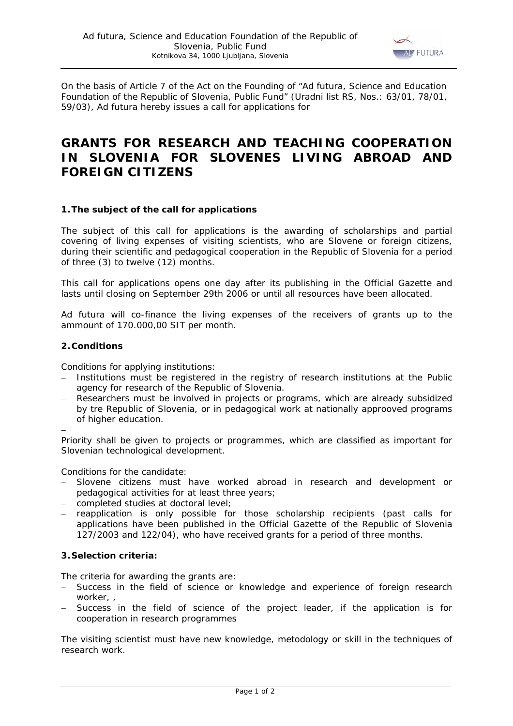

On the basis of Article 7 of the Act on the Founding of "Ad futura, Science and Education Foundation of the Republic of Slovenia, Public Fund" (*Uradni list RS*, Nos.: 63/01, 78/01, 59/03), Ad futura hereby issues a call for applications for

# **GRANTS FOR RESEARCH AND TEACHING COOPERATION IN SLOVENIA FOR SLOVENES LIVING ABROAD AND FOREIGN CITIZENS**

## **1.The subject of the call for applications**

The subject of this call for applications is the awarding of scholarships and partial covering of living expenses of visiting scientists, who are Slovene or foreign citizens, during their scientific and pedagogical cooperation in the Republic of Slovenia for a period of three (3) to twelve (12) months.

This call for applications opens one day after its publishing in the Official Gazette and lasts until closing on September 29th 2006 or until all resources have been allocated.

Ad futura will co-finance the living expenses of the receivers of grants up to the ammount of 170.000,00 SIT per month.

## **2.Conditions**

−

Conditions for applying institutions:

- − Institutions must be registered in the registry of research institutions at the Public agency for research of the Republic of Slovenia.
- Researchers must be involved in projects or programs, which are already subsidized by tre Republic of Slovenia, or in pedagogical work at nationally approoved programs of higher education.

Priority shall be given to projects or programmes, which are classified as important for Slovenian technological development.

Conditions for the candidate:

- Slovene citizens must have worked abroad in research and development or pedagogical activities for at least three years;
- − completed studies at doctoral level;
- − reapplication is only possible for those scholarship recipients (past calls for applications have been published in the Official Gazette of the Republic of Slovenia 127/2003 and 122/04), who have received grants for a period of three months.

## **3.Selection criteria:**

The criteria for awarding the grants are:

- − Success in the field of science or knowledge and experience of foreign research worker, ,
- Success in the field of science of the project leader, if the application is for cooperation in research programmes

The visiting scientist must have new knowledge, metodology or skill in the techniques of research work.